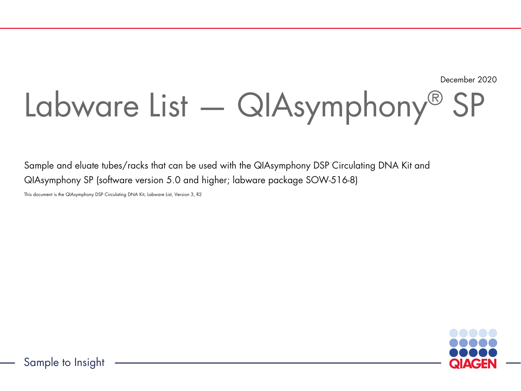December 2020

# Labware List — QIAsymphony® SP

Sample and eluate tubes/racks that can be used with the QIAsymphony DSP Circulating DNA Kit and QIAsymphony SP (software version 5.0 and higher; labware package SOW-516-8)

This document is the QIAsymphony DSP Circulating DNA Kit, Labware List, Version 3, R2



Sample to Insight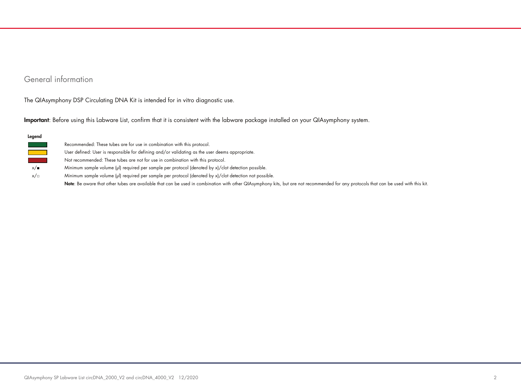## General information

The QIAsymphony DSP Circulating DNA Kit is intended for in vitro diagnostic use.

Important: Before using this Labware List, confirm that it is consistent with the labware package installed on your QIAsymphony system.

| x/∎ |  |
|-----|--|
| x/  |  |

Recommended: These tubes are for use in combination with this protocol.

User defined: User is responsible for defining and/or validating as the user deems appropriate.

Not recommended: These tubes are not for use in combination with this protocol.

Minimum sample volume (µl) required per sample per protocol (denoted by x)/clot detection possible.

Minimum sample volume (µl) required per sample per protocol (denoted by x)/clot detection not possible.

Note: Be aware that other tubes are available that can be used in combination with other QIAsymphony kits, but are not recommended for any protocols that can be used with this kit.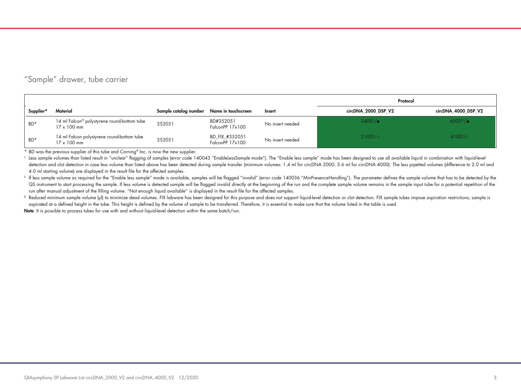## "Sample" drawer, tube carrier

|           |                                                                               |                       |                                   |                  | Protocol                     |                     |
|-----------|-------------------------------------------------------------------------------|-----------------------|-----------------------------------|------------------|------------------------------|---------------------|
| Supplier* | Material                                                                      | Sample catalog number | Name in touchscreen               | Insert           | circDNA 2000 DSP V2          | circDNA 4000 DSP V2 |
| $BD*$     | 14 ml Falcon <sup>®</sup> polystyrene round-bottom tube<br>$17 \times 100$ mm | 352051                | BD#352051<br>FalconPP 17x100      | No insert needed | $2400^{\dagger}/$            | $4500^{14}/$        |
| $BD*$     | 14 ml Falcon polystyrene round-bottom tube<br>$17 \times 100$ mm              | 352051                | BD_FIX_#352051<br>FalconPP 17x100 | No insert needed | $2100$ <sup>§</sup> / $\Box$ | $4100^{8}/\Box$     |

\* BD was the previous supplier of this tube and Corning® Inc. is now the new supplier.

t Less sample volumes than listed result in "unclear" flagging of samples (error code 140043 "EnableLessSample mode"). The "Enable less sample" mode has been designed to use all available liquid in combination with liquiddetection and clot detection in case less volume than listed above has been detected during sample transfer (minimum volumes: 1.4 ml for circDNA 2000, 3.6 ml for circDNA 4000). The less pipetted volumes (difference to 2.0 4.0 ml starting volume) are displayed in the result file for the affected samples.

# If less sample volume as required for the "Enable less sample" mode is available, samples will be flagged "invalid" (error code 140036 "MinPresenceHandling"). The parameter defines the sample volume that has to be detect QS instrument to start processing the sample. If less volume is detected sample will be flagged invalid directly at the beginning of the run and the complete sample volume remains in the sample input tube for a potential r run after manual adjustment of the filling volume. "Not enough liquid available" is displayed in the result file for the affected samples.

<sup>§</sup> Reduced minimum sample volume (µI) to minimize dead volumes. FIX labware has been designed for this purpose and does not support liquid-level detection or clot detection. FIX sample tubes impose aspiration restrictions aspirated at a defined height in the tube. This height is defined by the volume of sample to be transferred. Therefore, it is essential to make sure that the volume listed in the table is used.

Note: It is possible to process tubes for use with and without liquid-level detection within the same batch/run.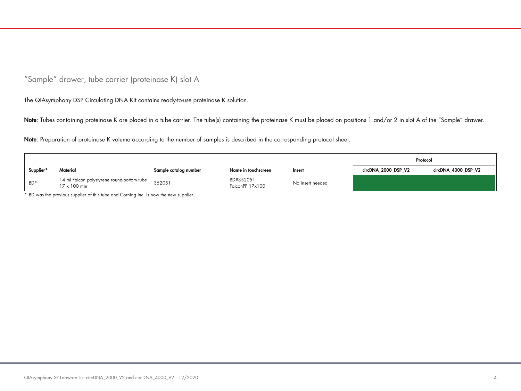"Sample" drawer, tube carrier (proteinase K) slot A

The QIAsymphony DSP Circulating DNA Kit contains ready-to-use proteinase K solution.

Note: Tubes containing proteinase K are placed in a tube carrier. The tube(s) containing the proteinase K must be placed on positions 1 and/or 2 in slot A of the "Sample" drawer.

Note: Preparation of proteinase K volume according to the number of samples is described in the corresponding protocol sheet.

|           |                                                           |                       |                              |                  | Protocol            |                     |
|-----------|-----------------------------------------------------------|-----------------------|------------------------------|------------------|---------------------|---------------------|
| Supplier* | Material                                                  | Sample catalog number | Name in touchscreen          | Insert           | circDNA 2000 DSP V2 | circDNA_4000_DSP_V2 |
| BD*       | 14 ml Falcon polystyrene round-bottom tube<br>17 x 100 mm | 352051                | BD#352051<br>FalconPP 17x100 | No insert needed |                     |                     |

\* BD was the previous supplier of this tube and Corning Inc. is now the new supplier.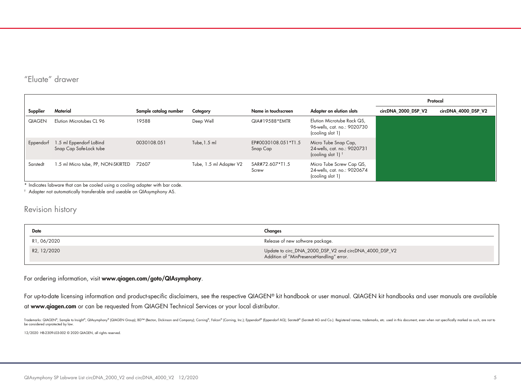# "Eluate" drawer

|               |                                                    |                       |                         |                                 |                                                                               | Protocol            |                     |
|---------------|----------------------------------------------------|-----------------------|-------------------------|---------------------------------|-------------------------------------------------------------------------------|---------------------|---------------------|
| Supplier      | Material                                           | Sample catalog number | Category                | Name in touchscreen             | Adapter on elution slots                                                      | circDNA 2000 DSP V2 | circDNA 4000 DSP V2 |
| <b>QIAGEN</b> | Elution Microtubes CL 96                           | 19588                 | Deep Well               | QIA#19588*EMTR                  | Elution Microtube Rack QS,<br>96-wells, cat. no.: 9020730<br>(cooling slot 1) |                     |                     |
| Eppendorf     | 1.5 ml Eppendorf LoBind<br>Snap Cap Safe-Lock tube | 0030108.051           | Tube, $1.5$ ml          | EP#0030108.051*T1.5<br>Snap Cap | Micro Tube Snap Cap,<br>24-wells, cat. no.: 9020731<br>(cooling slot 1) $†$   |                     |                     |
| Sarstedt      | 1.5 ml Micro tube, PP, NON-SKIRTED                 | 72607                 | Tube, 1.5 ml Adapter V2 | SAR#72.607*T1.5<br>Screw        | Micro Tube Screw Cap QS,<br>24-wells, cat. no.: 9020674<br>(cooling slot 1)   |                     |                     |

\* Indicates labware that can be cooled using a cooling adapter with bar code.

† Adapter not automatically transferable and useable on QIAsymphony AS.

### Revision history

| Date        | Changes                                                                                            |
|-------------|----------------------------------------------------------------------------------------------------|
| R1, 06/2020 | Release of new software package.                                                                   |
| R2, 12/2020 | Update to circ_DNA_2000_DSP_V2 and circDNA_4000_DSP_V2<br>Addition of "MinPresenceHandling" error. |

For ordering information, visit www.qiagen.com/goto/QIAsymphony.

For up-to-date licensing information and product-specific disclaimers, see the respective QIAGEN® kit handbook or user manual. QIAGEN kit handbooks and user manuals are available at www.qiagen.com or can be requested from QIAGEN Technical Services or your local distributor.

Trademarks: QIAGEN®, Sample to Insighi®, QIAsymphony® (QIAGEN Group); BD™ (Becton, Dickinson and Company); Coning®, Falcon® (Corning, Inc.); Eppendorf® (Eppendorf AG); Sarstedt® (Sarstedt AG and Co.). Registered names, tra be considered unprotected by law.

12/2020 HB-2309-L03-002 © 2020 QIAGEN, all rights reserved.